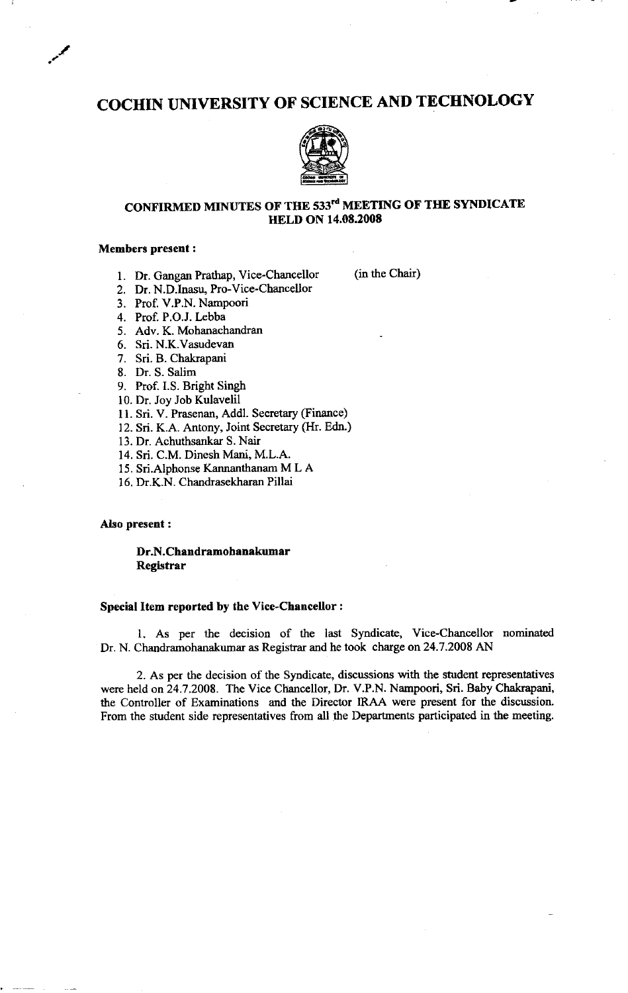# COCHIN UNIVERSITY OF SCIENCE AND TECIINOLOGY



### CONFIRMED MINUTES OF THE 533rd MEETING OF THE SYNDICATE **HELD ON 14.08.2008**

### Members prescnt :

-/

1. Dr. Gangan Prathap, Vice-Chancellor (in the Chair)

2. Dr. N.D.Inasu, Pro-Vice-Chancellor

3. Prof. V.P.N. NamPoori

4. Prof. P.O.J. Lebba

5. Adv. K. Mohanachandran

6. Sri. N.K.Vasudevan

7. Sri. B. Chakrapani

8. Dr. S. Salim

9. Prof. I.S. Bright Singh

10. Dr. Joy Job Kulavelil

11. Sri. V. Prasenan, Addl. Secretary (Finance)

12. Sri. K.A. Antony, Joint Secretary (Hr. Edn.)

13. Dr. Achuthsankar S. Nair

14. Sri. C.M. Dinesh Mani, M.L.A.

15. Sri.Alphonse Kannanthanam M L A

16. Dr.K.N. Chandrasekharan Pillai

#### AIso present :

Dr.N.Chandramohanakumar Registrar

#### Special Item reported by the Vice-Chancellor :

1. As per the decision of the last Syndicate, Vice-Chancellor nominated Dr. N. Chandramohanakumar as Registrar and he took charge on 24.7.2008 AN

2. As per the decision of the Syndicate, discussions with the student representatives were held on24.7.2008. The Vice Chancellor, Dr. V.P.N. Nampoori, Sri. Baby Chakrapani, the Controller of Examinations and the Director IRAA were present for the discussion. From the student side representatives from all the Departments participated in the meeting.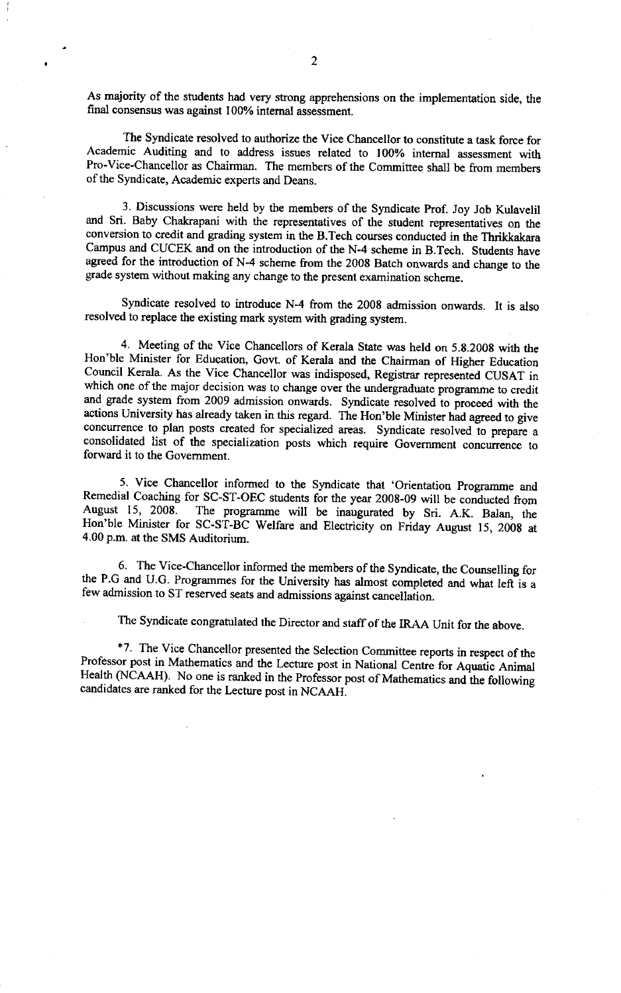As majority of the students had very strong apprehensions on the implementation side, the final consensus was against 100% intemal assessment.

The Syndicate resolved to authorize the Vice Chancellor to constitute a task force for Academic Auditing and to address issues related to I 00% intemal assessment with Pro-Vice-Chancellor as Chairman. The members of the Committee shall be from members of the Syndicate, Academic experts and Deans.

3. Discussions were held by the members of the syndicate prof. Joy Job Kulavelil and Sri. Baby chakrapani with the representatives of the student representatives on the conversion to credit and grading system in the B.Tech courses conducted in the Thrikkakara campus and GUCEK and on the introduction of the N-4 scheme in B.Tech. students have agreed for the introduction of N-4 scheme from the 2008 Batch onwards and change to the grade system without making any change to the present examination scheme.

Syrdicate resolved to introduce N-4 from the 2008 admission onwards. It is also resolved to replace the existing mark system with grading system.

4. Meeting of the vice chancellors of Kerala state was held on 5.g.200g with the Hon'ble Minister for Education, Govt. of Kerala and the chairman of Higher Education council Kerala. As the Vice chancellor was indisposed, Registrar represerited CUSAT in which one of the major decision was to change over the undergraduate programme to credit and grade system from 2009 admission onwards. syndicate resolved io proceed with the actions University has already taken in this regard. The Hon'ble Minister had agreed to give concurrence to plan posts created for specialized areas. Syndicate resolved to prepare a consolidated list of the specialization posts which require Government concurrence to forward it to the Govemment.

5. vice chancellor informed to the syndicate that 'orientation programme and Remedial Coaching for SC-ST-OEC students for the year 2008-09 will be conducted from<br>August 15, 2008. The programme will be inaugurated by Sri, A.K. Balan, the The programme will be inaugurated by Sri. A.K. Balan, the Hon'ble Minister for SC-ST-BC Welfare and Electricity on Friday August 15, 2008 at 4.00 p.m. at the SMS Auditorium.

6. The vice-chancellor informed the members of the syndicate, the counselling for the P.G and U.G. Programmes for the University has almost completed and what left is a few admission to ST reserved seats and admissions against cancellation.

The Syndicate congratulated the Director and staff of the IRAA Unit for the above.

\*7. The Vice Chancellor presented the Selection Committee reports in respect of the Professor post in Mathematics and the Lecture post in National Centre for Aquatic Animal Health (NCAAH). No one is ranked in the Professor post of Mathematics and the following candidates are ranked for the Lecture post in NCAAH.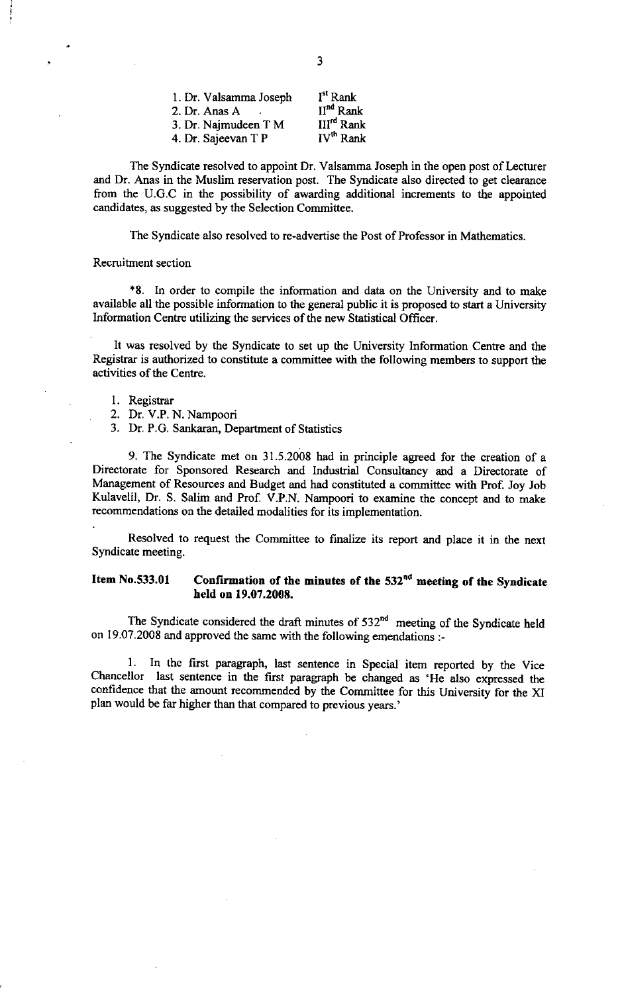| 1. Dr. Valsamma Joseph | I <sup>st</sup> Rank   |
|------------------------|------------------------|
| 2. Dr. Anas A          | II <sup>nd</sup> Rank  |
| 3. Dr. Najmudeen T M   | III <sup>rd</sup> Rank |
| 4. Dr. Sajeevan T P    | IV <sup>th</sup> Rank  |

The Syndicate resolved to appoint Dr. Valsamma Joseph in the open post of Lecturer and Dr. Anas in the Muslim reservation post. The Syndicate also directed to get clearance from the U.G.C in the possibility of awarding additional increments to the appointed candidates, as suggested by the Selection Committee.

The Syndicate also resolved to re-advertise the Post of Professor in Mathematics.

#### Recruitment section

+8. ln order to compile the information and data on the University and to make available all the possible information to the general public it is proposed to start a University Information Centre utilizing the services of the new Statistical Officer.

It was resolved by the Syndicate to set up the University Information Centre and the Registrar is authorized to constitute a committee with the following members to support the activities of the Centre.

- 1. Registrar
- 2. Dr. V.P. N. Nampoori
- 3. Dr. P.G. Sankaran, Department of Statistics

9. The Syndicate met on 31.5.2008 had in principle agreed for the creation of <sup>a</sup> Directorate for Sponsored Research and Industrial Consultancy and a Directorate of Management of Resources and Budget and had constituted a committee with Prof. Joy Job Kulavelil, Dr. S. Salim and Prof. V.P.N. Nampoori to examine the concept and to make recommendations on the detailed modalities for its implementation.

Resolved to request the Committee to finalize its report and place it in the next Syndicate meeting.

### Item No.533.01 Confirmation of the minutes of the 532<sup>nd</sup> meeting of the Syndicate held on 19.07.2008.

The Syndicate considered the draft minutes of  $532<sup>nd</sup>$  meeting of the Syndicate held on I9.07.2008 and approved the same with the following emendations :-

\_<br>ገ<sub>ኩ።</sub> 1. In the first paragraph, last sentence in Special item reported by the Vice chancellor last sentence in the first paragaph be changed as 'He also expressed the confidence that the amount recommended by the committee for this University for the XI plan would be far higher than that compared to previous years.'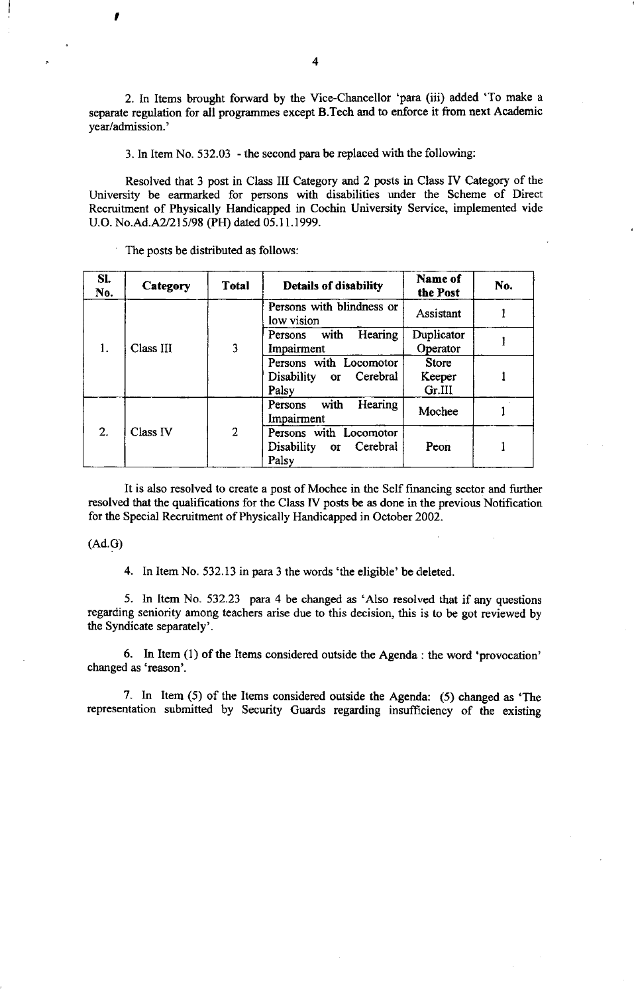2. In Items brought forward by the Vice-Chancellor 'para (iii) added 'To make <sup>a</sup> separate regulation for all programmes except B.Tech and to enforce it from next Academic year/admission.'

3. ln Item No. 532.03 - the second para be replaced with the following:

Resolved that 3 post in Class III Category and 2 posts in Class IV Category of the University be earmarked for persons with disabilities under the Scheme of Direct Recruitment of Physically Handicapped in Cochin University Service, implemented vide U.O. No.Ad.A2/215/98 (PH) dated 05.11.1999.

The posts be distributed as follows:

| SI.<br>No. | Category  | <b>T</b> otal  | <b>Details of disability</b>                                                        | Name of<br>the Post              | No. |
|------------|-----------|----------------|-------------------------------------------------------------------------------------|----------------------------------|-----|
| 1.         | Class III | 3              | Persons with blindness or<br>low vision                                             | Assistant                        |     |
|            |           |                | Hearing<br>Persons with<br>Impairment                                               | Duplicator<br>Operator           |     |
|            |           |                | Persons with Locomotor<br>Cerebral<br>Disability<br>$\overline{\text{or}}$<br>Palsy | <b>Store</b><br>Keeper<br>Gr.III |     |
| 2.         | Class IV  | $\overline{2}$ | with<br>Hearing<br>Persons<br>Impairment                                            | Mochee                           |     |
|            |           |                | Persons with Locomotor<br>Cerebral<br>Disability<br>$\sigma$<br>Palsy               | Peon                             |     |

It is also resolved to create a post of Mochee in the Self financing sector and further resolved that the qualifications for the Class [V posts be as done in the previous Notification for the Special Recruitment of Physically Handicapped in October 2002.

### (Ad.G)

I

4. In Item No. 532.13 in para 3 the words'the eligible' be deleted.

5. In Item No. 532.23 para 4 be changed as 'Also resolved that if any questions regarding seniority among teachers arise due to this decision, this is to be got reviewed by the Syndicate separately'.

6. In Item  $(1)$  of the Items considered outside the Agenda: the word 'provocation' changed as 'reason'.

7. In Item  $(5)$  of the Items considered outside the Agenda:  $(5)$  changed as 'The representation submitted by Security Guards regarding insufficiency of the existing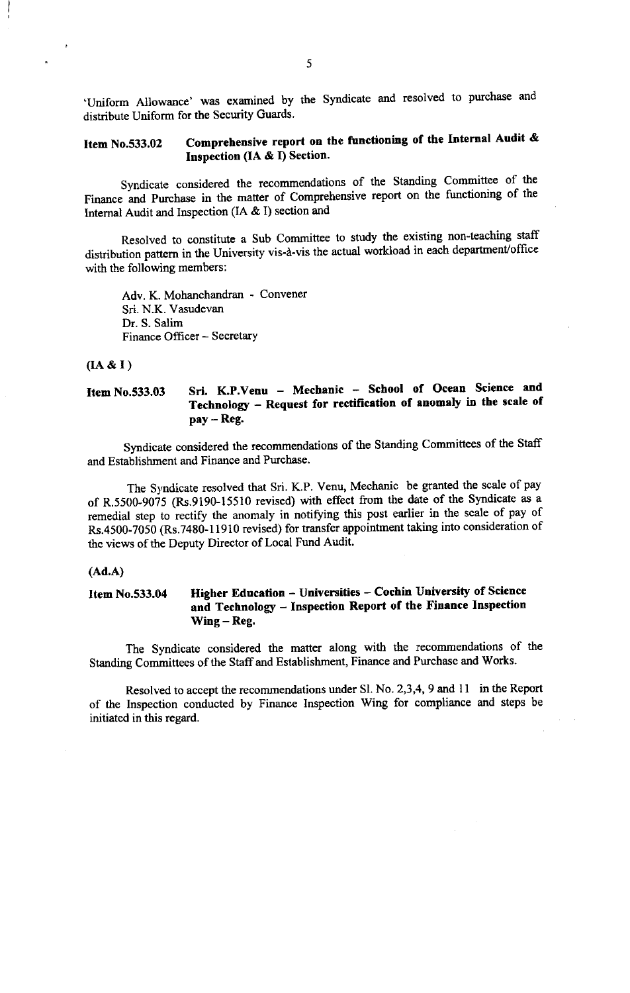'Uniform Allowance' was examined by the Syndicate and resolved to purchase and distribute Uniform for the Security Guards.

## Item No.533.02 Comprehensive report on the functioning of the Internal Audit & Inspection (IA  $\&$  I) Section.

Syndicate considered the recommendations of the Standing Committee of the Finance and Purchase in the matter of Comprehensive report on the functioning of the Intemal Audit and Inspection (IA & I) section and

Resolved to constitute a Sub committee to study the existing non-teaching staff distribution pattern in the University vis-à-vis the actual workload in each department/office with the following members:

Adv. K. Mohanchandran - Convener Sri. N.K. Vasudevan Dr. S. Salim Finance Officer - Secretary

#### $(A & I)$

Item No.533.03 Sri. K.P.Venu - Mechanic - School of Ocean Science and Technology - Request for rectification of anomaly in the scale of pay - Reg.

syndicate considered the recommendations of the standing committees of the staff and Establishment and Finance and Purchase.

The Syndicate resolved that Sri. K.P. Venu, Mechanic be granted the scale of pay of R.5500-9075 (Rs.9190-15510 revised) with effect from the date of the Syndicate as a remedial step to rectify the anomaly in notifying this post earlier in the scale of pay of Rs.4500-7050 (Rs.7480-11910 revised) for transfer appointment taking into consideration of the views of the Deputy Director of Local Fund Audit.

#### (Ad.A)

### Item No.533.04 Higher Education - Universities - Cochin University of Science and Technology - Inspection Report of the Finance Inspection Wing - Reg.

The Syndicate considered the matter along with the recommendations of the Standing Committees of the Staff and Establishment, Finance and Purchase and Works'

Resolved to accept the recommendations under Sl. No. 2,3,4, 9 and 11 in the Report of the Inspection conducted by Finance Inspection Wing for compliance and steps be initiated in this regard.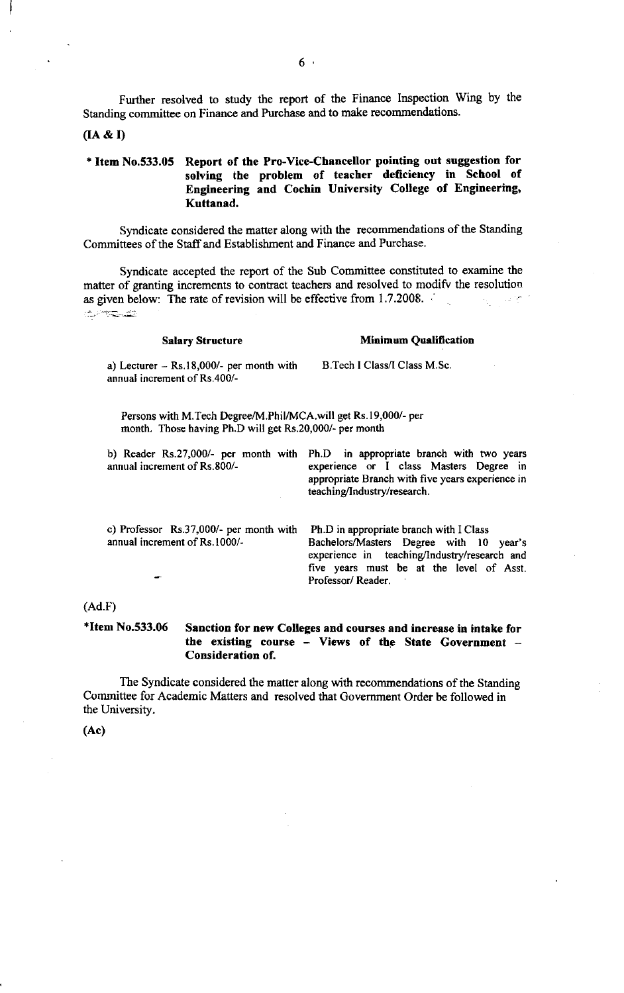Further resolved to study the report of the Finance Inspection Wing by the Standing committee on Finance and Purchase and to make recommendations.

#### $(IA & I)$

### <sup>+</sup>Item No.533.05 Report of the Pro-Vice-Chancellor pointing out suggestion for solving the problem of teacher deficiency in School of Engineering and Cochin University College of Engineering, Kuttanad.

Syndicate considered the matter along with the recommendations of the Standing Committees of the Staff and Establishment and Finance and Purchase.

Syndicate accepted the report of the Sub Committee constituted to examine the matter of granting increments to contract teachers and resolved to modify the resolution as given below: The rate of revision will be effective from 1.7.2008. **1000 年 1000 年** -'1;..;-

| <b>Salary Structure</b>                                                                                                   | <b>Minimum Qualification</b>                                                                                                                                                                                 |
|---------------------------------------------------------------------------------------------------------------------------|--------------------------------------------------------------------------------------------------------------------------------------------------------------------------------------------------------------|
| a) Lecturer $-$ Rs.18,000/- per month with<br>annual increment of Rs.400/-                                                | B. Tech I Class/I Class M.Sc.                                                                                                                                                                                |
| Persons with M.Tech Degree/M.Phil/MCA.will get Rs.19,000/- per<br>month. Those having Ph.D will get Rs.20,000/- per month |                                                                                                                                                                                                              |
| annual increment of Rs.800/-                                                                                              | b) Reader Rs.27,000/- per month with Ph.D in appropriate branch with two years<br>experience or I class Masters Degree in<br>appropriate Branch with five years experience in<br>teaching/Industry/research. |
| c) Professor Rs.37,000/- per month with<br>annual increment of Rs.1000/-                                                  | Ph.D in appropriate branch with I Class<br>Bachelors/Masters Degree with 10 year's<br>experience in teaching/Industry/research and<br>five years must be at the level of Asst.<br>Professor/Reader.          |

#### (Ad.F)

\*Item No.533.06 Sanction for new Colleges and courses and increase in intake for the existing course - Views of the State Government -Consideration of.

The Syndicate considered the matter along with recommendations of the Standing Committee for Academic Matters and resolved that Govemment Order be followed in the University.

(Ac)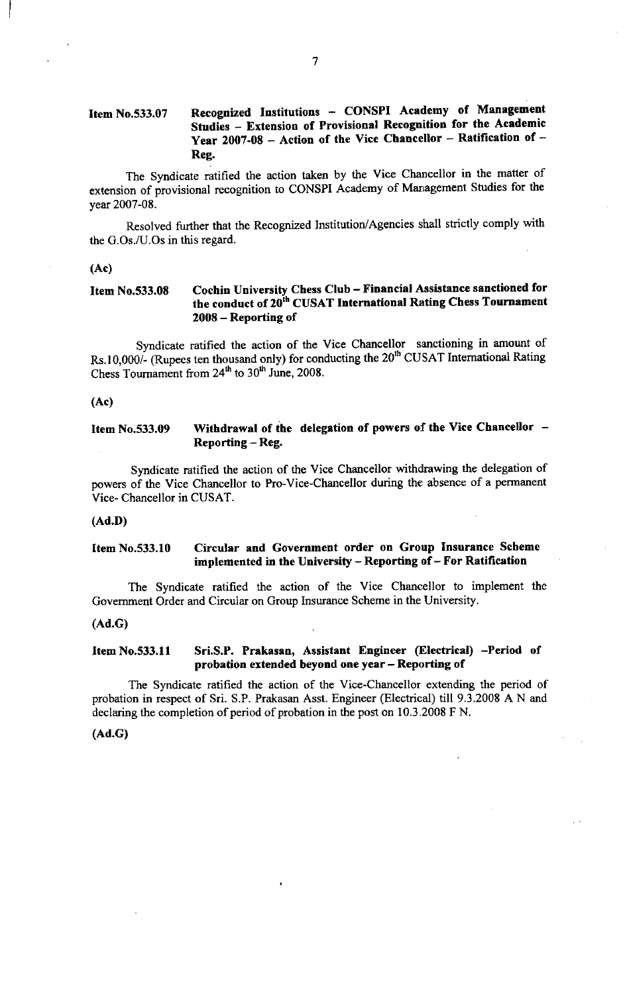### Item No.533.07 Recognized Institutions - CONSPI Academy of Management Studies - Extension of Provisional Recognition for the Academic Year 2007-08 - Action of the Vice Chancellor - Ratification of -Reg.

The Syndicate ratified the action taken by the Vice Chancellor in the matter of extension of provisional recognition to CONSPI Academy of Management Studies for the year 2007-08.

Resolved further that the Recognized Institution/Agencies shall strictly comply with the G.Os./U.Os in this regard.

#### (Ac)

#### Cochin University Chess Club - Financial Assistance sanctioned for the conduct of 20<sup>th</sup> CUSAT International Rating Chess Tournament <sup>2008</sup>- Reporting of Item No.533.08

Syndicate ratified the action of the vice chancellor sanctioning in amount of Rs. 10,000/- (Rupees ten thousand only) for conducting the  $20<sup>th</sup>$  CUSAT International Rating Chess Tournament from  $24<sup>th</sup>$  to  $30<sup>th</sup>$  June, 2008.

(Ac)

Item No.533.09 Withdrawal of the delegation of powers of the Vice Chancellor  $-$ Reporting - Reg.

Syndicate ratified the action of the Vice Chancellor withdrawing the delegation of powers of the vice chancellor to Pro-vice-chancellor during the absence of a permanent Vice- Chancellor in CUSAT.

#### (Ad.D)

### Item No.533.10 Circular and Government order on Group Insurance Scheme implemented in the University - Reporting of - For Ratification

The Syndicate ratified the action of the Vice Chancellor to implement the Govemment Order and Circular on Group lnsurance Scheme in the University.

#### (Ad.G)

### Item No.533.11 Sri.S.P. Prakasan, Assistant Engineer (Electrical) -Period of probation extended beyond one year - Reporting of

The Syndicate ratified the action of the Vice-Chancellor extending the period of probation in respect of Sri. S.P. Prakasan Asst. Engineer (Electrical) till 9.3.2008 A N and declaring the completion of period of probation in the post on 10.3.2008 F N.

#### (Ad.G)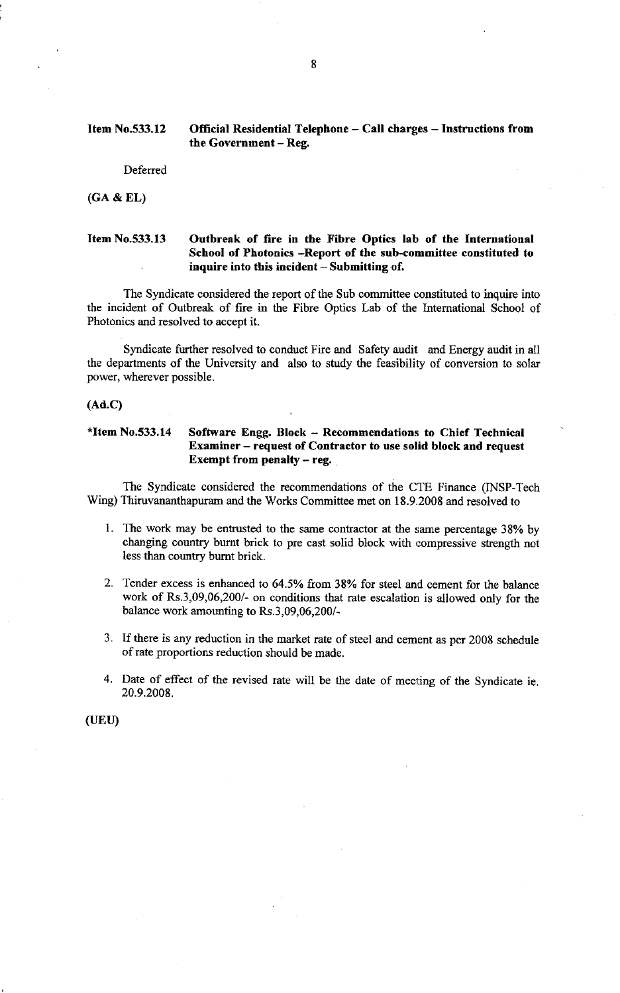### Item No.533.12 Official Residential Telephone - Call charges - Instructions from the Government - Reg.

Deferred

(GA & EL)

### Item No.533.13 Outbreak of fire in the Fibre Optics lab of the International School of Photonics -Report of the sub-committee constituted to inquire into this incident - Submitting of.

The Syndicate considered the report of the Sub committee constituted to inquire into the incident of Outbreak of fire in the Fibre Optics Lab of the Intemational School of Photonics and resolved to accept it.

Syndicate further resolved to conduct Fire and Safety audit and Energy audit in all the departments of the University and also to study the feasibilify of conversion to solar power, wherever possible.

#### (Ad.c)

### \*Item No.533.14 Software Engg. Block - Recommendations to Chief Technical Examiner - request of Contractor to use solid block and request Exempt from penalty  $-$  reg.

The Syndicate considered the recommendations of the CTE Finance (INSP-Tech Wing) Thiruvananthapuram and the Works Committee met on 18.9.2008 and resolved to

- 1. The work may be entrusted to the same contractor at the same percentage 38% by changing country burnt brick to pre cast solid block with compressive strength not less than country bumt brick.
- 2. Tender excess is enhanced to 64.5Vo ftom 38% for steel and cement for the balance work of Rs.3,09,06,200/- on conditions that rate escalation is allowed onlv for the balance work amounting to Rs.3,09,06,200/-
- 3. If there is any reduction in the market rate of steel and cement as per 2008 schedule of rate proportions reduction should be made.
- 4. Date of effect of the revised rate will be the date of meeting of the Syndicate ie 20.9.2008.

(UEU)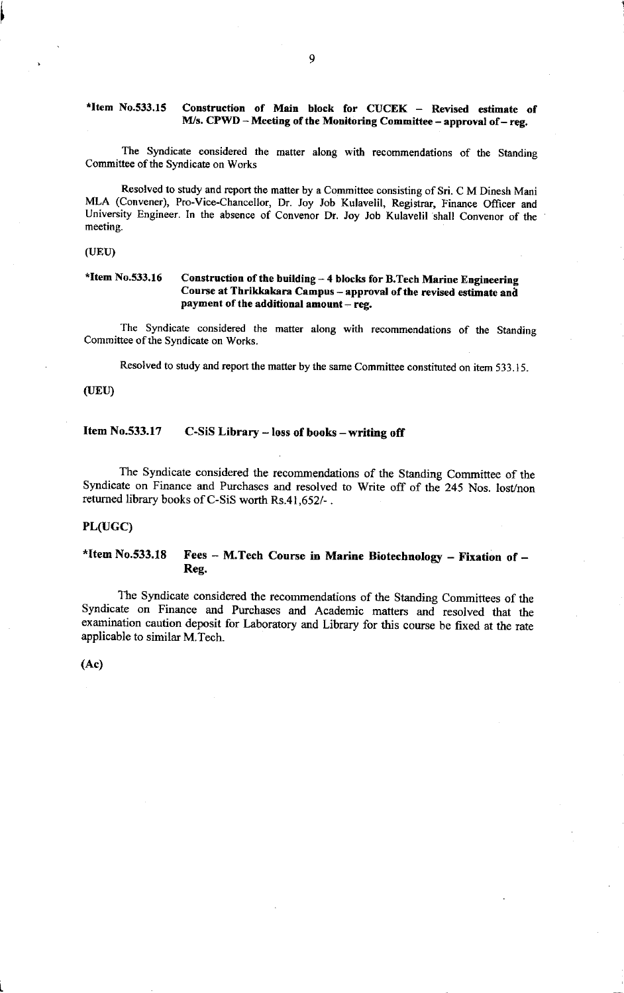### \*Item No.533.15 Construction of Main block for CUCEK - Revised estimate of M/s.  $CPWD - Meeting$  of the Monitoring Committee - approval of - reg.

The Syndicate considered the matter along with recommendations of the Standing Committee of the Syndicate on Works

Resolved to study and report the matter by a Committee consisting of Sri. C M Dinesh Mani MLA (Convener), Pro-Vice-Chancellor, Dr. Joy Job Kulavelil, Registrar, Finance Officer and University Engineer. In the absence of convenor Dr. Joy Job Kulavelil shall convenor of the meeting.

#### (UEU)

### \*Item No.533.16 Construction of the building  $-$  4 blocks for B.Tech Marine Engineering Course at Thrikkakara Campus - approval of the revised estimate and payment of the additional amount  $-$  reg.

The Syndicate considered the matter along with recommendations of the Standing Committee of the Syndicate on Works.

Resolved to study and report the matter by the same Committee constituted on item 533.15.

#### (UEU)

### Item No.533.17 C-SiS Library - loss of books - writing off

The Syndicate considered the recommendations of the standing committee of the syndicate on Finance and Purchases and resolved to write off of the 245 Nos. lost/non returned library books of C-SiS worth Rs.41,652/- .

#### PL(uGC)

### \*Item No.533.18 Fees - M.Tech Course in Marine Biotechnology - Fixation of -Reg.

The syndicate considered the recommendations of the standing committees of the Syndicate on Finance and Purchases and Academic mafters and resolved that the examination caution deposit for Laboratory and Library for this course be fixed at the rate applicable to similar M.Tech.

(Ac)

t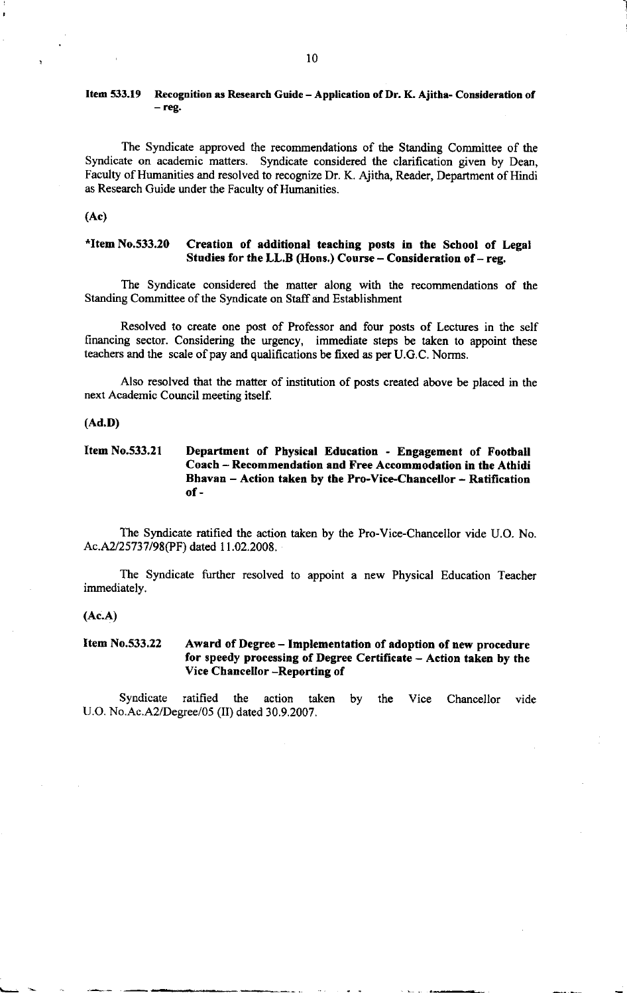### Item 533.19 Recognition as Research Guide - Application of Dr. K. Ajitha- Consideration of - reg.

The Syndicate approved the recommendations of the Standing Committee of the Syndicate on academic matters. Syndicate considered the clarification given by Dean, Faculty of Humanities and resolved to recognize Dr. K. Ajitha, Reader, Department of Hindi as Research Guide under the Faculty of Humanities.

(Ac)

### \*Item  $No.533.20$  Creation of additional teaching posts in the School of Legal Studies for the LL.B (Hons.) Course  $-$  Consideration of  $-$  reg.

The Syndicate considered the matter along with the recommendations of the Standing Committee of the Syndicate on Stalf and Establishment

Resolved to create one post of Professor and four posts of Lectures in the self financing sector. Considering the urgency, immediate steps be taken to appoint these teachers and the scale of pay and qualifications be fixed as per U.G.C. Norms.

Also resolved that the matter of institution of posts created above be placed in the next Academic Council meeting itself.

#### (Ad.D)

### Item No.533.21 Department of Physical Education - Engagement of Football Coach - Recommendation and Free Accommodation in the Athidi Bhavan - Action taken by the Pro-Vice-Chancellor - Ratification of-

The Syndicate ratified the action taken by the Pro-Vice-Chancellor vide U.O. No Ac.A2/25737/98(PF) dated 11.02.2008.

The Syndicate further resolved to appoint a new Physical Education Teacher immediately.

#### (Ac.A)

### Item No.533,22 Award of Degree - Implementation of adoption of new procedure for speedy processing of Degree Certificate - Action taken by the Vice Chancellor -Reporting of

Syndicate ratified the action taken U.O. No.Ac.A2/Degree/05 (II) dated 30.9.2007. by the Vice Chancellor vide I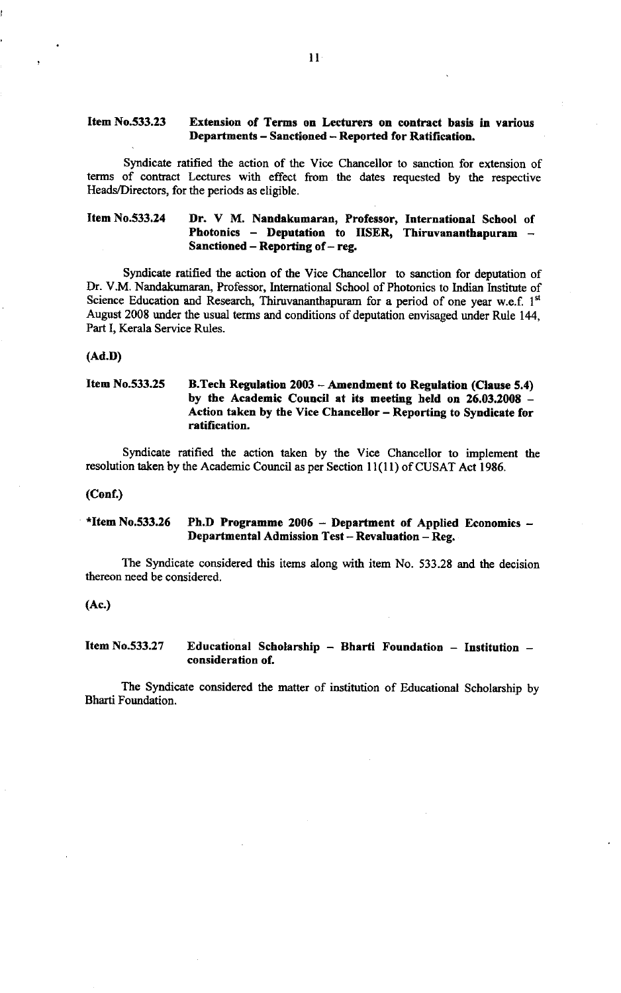### Item No.533.23 Extension of Terms on Lecturers on contract basis in various Departments - Sanctioned - Reported for Ratification.

Syndicate ratified the action of the Vice Chancellor to sanction for extension of terms of contact Lectures with effect from the dates requested by the respective Heads/Directors, for the periods as eligible.

### Item No.533.24 Dr. V M, Nandakumaran, Professor, International School of Photonics  $-$  Deputation to IISER, Thiruvananthapuram  $-$ Sanctioned  $-$  Reporting of  $-$  reg.

Syndicate ratified the action of the Vice Chancellor to sanction for deputation of Dr. V.M. Nandakumaran, Professor, lntemational School of Photonics to lndian Institute of Science Education and Research, Thiruvananthapuram for a period of one year w.e.f.  $1<sup>st</sup>$ August 2008 under the usual terms and conditions of deputation envisaged under Rule 144, Part I, Kerala Service Rules.

#### (Ad.D)

### Item No.533.25 B.Tech Regulation 2003 - Amendment to Regulation (Clause 5.4) by the Academic Council at its meeting held on 26.03.2008 - Action taken by the Vice Chancellor - Reporting to Syndicate for ratification.

Syndicate ratified the action taken by the Vice Chancellor to implement the resolution taken by the Academic Council as per Section 11(11) of CUSAT Act 1986.

#### (Conf)

### \*Item No,533.26 Ph.D Programme 2006 - Department of Applied Economics - Departmental Admission Test - Revaluation - Reg.

The Syndicate considered this items along with item No. 533.28 and the decision thereon need be considered.

(Ac.)

### Item No.533.27 Educational Scholarship - Bharti Foundation - Institution consideration of.

The Syndicate considered the matter of institution of Educational Scholarship by Bharti Foundation.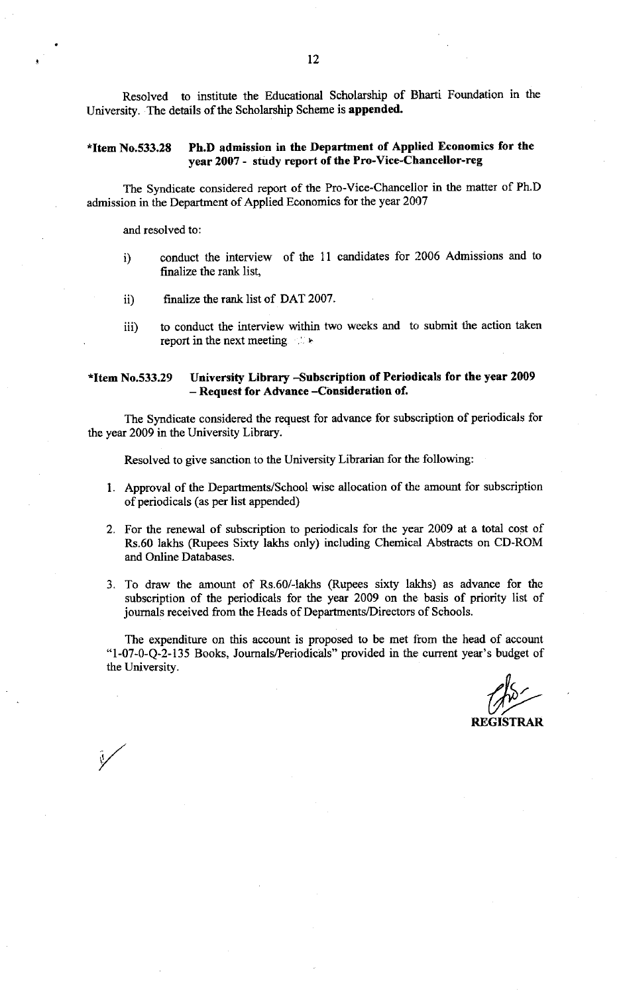Resolved to institute the Educational Scholarship of Bharti Foundation in the University. The details of the Scholarship Scheme is appended.

### \*Item No.533.2E Ph.D admission in the Department of Applied Economics for the year 2007 - study report of the Pro-Vice-Chancellor-reg

The Syndicate considered report of the Pro-Vice-Chancellor in the matter of Ph.D admission in the Department of Applied Economics for the yeat 2007

and resolved to:

/

- i) conduct the interview of the 11 candidates for 2006 Admissions and to finalize the rank list,
- ii) finalize the rark list of DAT 2007.
- iii) to conduct the interview within two weeks and to submit the action taken report in the next meeting  $\therefore$

### \*Iten No.533.29 University Library -Subscription of Periodicals for the year <sup>2009</sup> - Request for Advance -Consideration of.

The Syndicate considered the request for advance for subscription of periodicals for the year 2009 in the University Library.

Resolved to give sanction to the University Librarian for the following:

- 1. Approval of the Departments/School wise allocation of the amount for subscription of periodicals (as per list appended)
- 2. For the renewal of subscription to periodicals for the year 2009 at a total cost of Rs.60 lakhs (Rupees Sixty lakhs only) including Chemical Abstracts on CD-ROM and Online Databases.
- 3. To draw the amount of Rs.60/-lakhs (Rupees sixty lakhs) as advance for the subscription of the periodicals for the year 2009 on the basis of priority list of journals received from the Heads of Departments/Directors of Schools.

The expenditure on this account is proposed to be met from the head of account "l-07-0-Q-2-135 Books, Joumals/Periodicals" provided in the current year's budget of the University.

REGISTRAR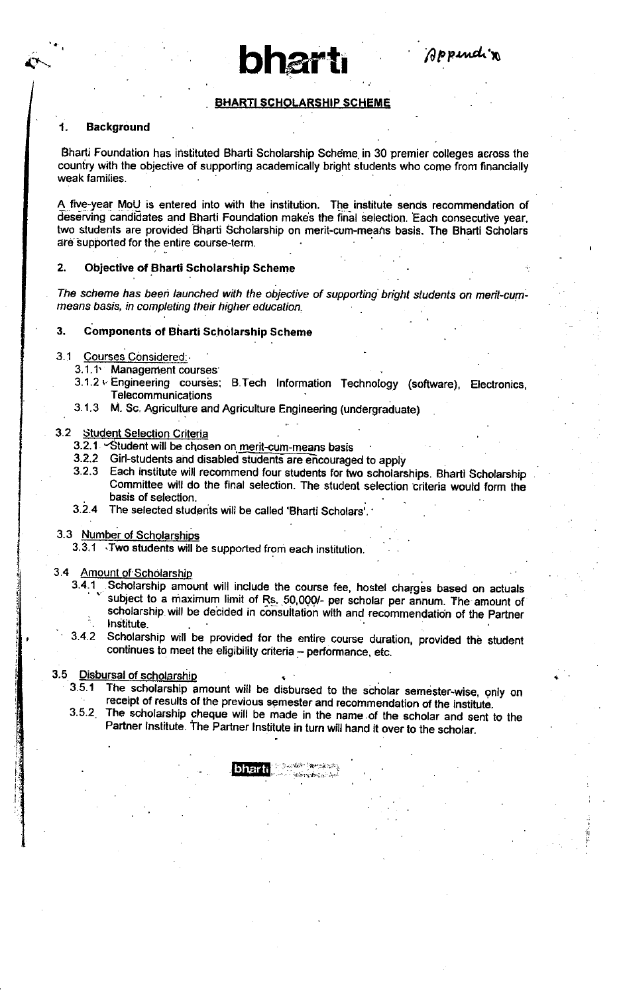### **BHARTI SCHOLARSHIP SCHEME**

 $\bullet$  bharti  $\rho_{p,mod,n}$ 

#### 1. Background

Bharti Foundation has instituted Bharti Scholarship Scheme. in 30 premier colleges across the couniry with the objective of supporting academically bright students who come from financially weak families.

A five-year MoU is entered into with the institution. The institute sends recommendation of deserving candidates and Bharti Foundation makes the final selection. Each consecutive year, two students are provided Bharti Scholarship on merit-cum-means basis. The Bharti Scholars are supported for the entire course-term.

#### 2. Objective of Bharti Scholarship Scheme

The scheme has been launched with the objective of supporting bright students on merit-cummeans basis, in completing their higher education.

#### 3. Components of Bharti Scholarship Scheme

#### 3.1 Courses Considered

- 3.1.1' Managerfient courses'
- 3.1-2 r.Engineering courses; B.Tech lnformation Technology (software), Electronics, **Telecommunications**
- 3.1.3 M. Sc. Agriculture and Agriculture Engineering (undergraduate)

#### 3.2 Student Selection Criteria

- 3.2.1 . Student will be chosen on merit-cum-means basis
- 3.2.2 Girl-s tudents ahd disabled students are encouraged to apply
- 3.2.3 Each institute will recommend four students for two scholarships. Bharti Scholarship Committee will do the final selection. The student selection criteria would form the . basis of selection.
- 3.2.4 The selected students will be called 'Bharti Scholars'.
- 3.3 Number of Scholarships

3.3.1 Two students will be supported from each institution.

#### 3.4

- Amount of Scholarship<br>3.4.1 Scholarship amount will include the course fee, hostel charges based on actuals subject to a maximum limit of Rs. .50,000/- per scholar per annum. The amount of . scholarship will be decided in consultation with and recommendation of the Partner . lnititute.
- 3.4.2 Scholarship will be provided for the entire course duration, provided the student continues to meet the eligibility criteria - performance, etc.

#### 3.5 Disbursal of scholarship

- 3 5.1 The scholarship amount will be disbursed to the scholar semester-wise, only on receipt of results of the previous semester and recommendation of the institute.
- 3.5.2 The scholarship cheque will be made in the name of the scholar and sent to the Partner Institute. The Partner Institute in turn will hand it over to the scholar.

**Super Remains** harti  $45 - 12 - 12$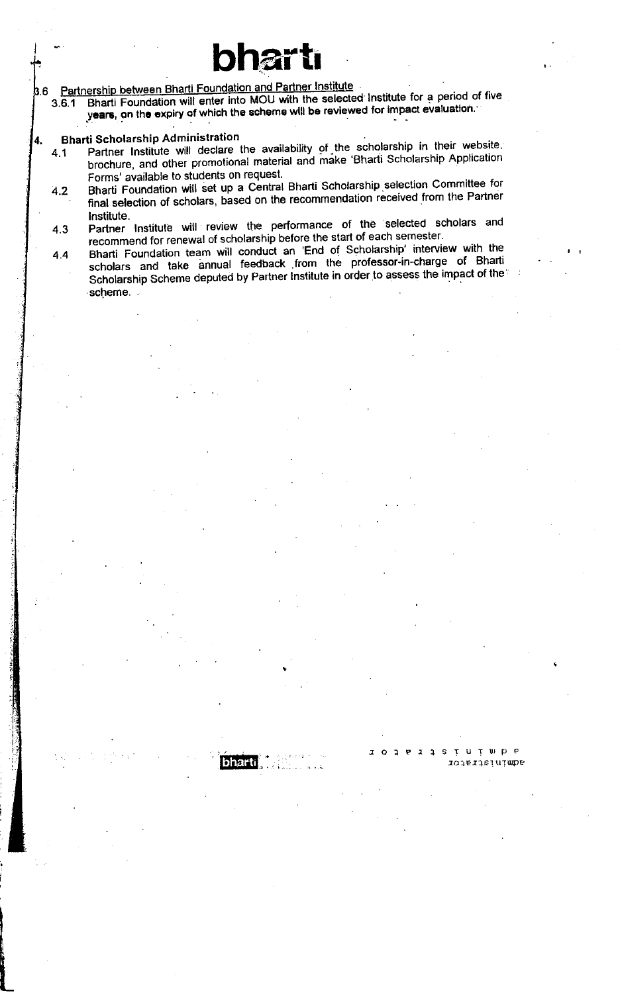**B.6** 

Partnership between Bharti Foundation and Partner Institute<br>3.6.1 Bharti Foundation will enter into MOU with the selected Institute for a period of five 3.6.1 Bharti Foundation will enter into MOU with the selected Institute for a period years, on the expiry of which the scheme will be reviewed for impact evaluation the scheme will be reviewed for impact evaluation.'

bhartr

#### Bharti Scholarship Administration 4.

- 4.1 Partner Institute will declare the availability of the scholarship in their website. brochure, and other promotional material and make 'Bharti Scholarship Application Forms' available to students on request.
- 4.2 Bharti Foundation will set up a Central Bharti Scholarship selection Committee for final selection of scholars, based on the recommendation received from the Partner<br>Institute. lnstitute.
- 4.3 Partner Institute will review the performance of the selected Scholars and 4.3 recommend for renewal of scholarship before the start of each semester.
- 4.4 Bharti Foundation team will conduct an 'End of Scholarship' interview with the scholars and take annual feedback from the professor-in-charge of Bharti Scholarship Scheme deputed by Partner Institute in order to assess the impact of the scheme.

bharti

I

JOlPrfsTuTulpe

.ru ru p e<br>rojezis lu p e